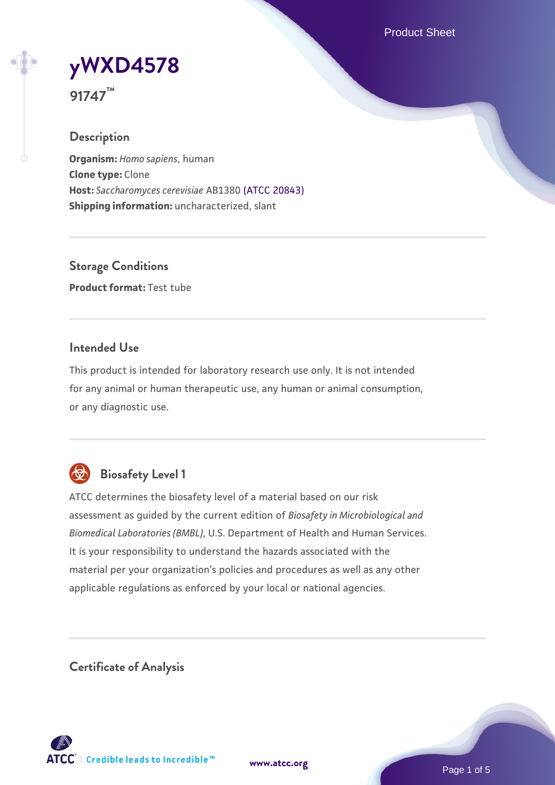Product Sheet



**91747™**

## **Description**

**Organism:** *Homo sapiens*, human **Clone type:** Clone **Host:** *Saccharomyces cerevisiae* AB1380 [\(ATCC 20843\)](https://www.atcc.org/products/20843) **Shipping information:** uncharacterized, slant

**Storage Conditions Product format:** Test tube

### **Intended Use**

This product is intended for laboratory research use only. It is not intended for any animal or human therapeutic use, any human or animal consumption, or any diagnostic use.



# **Biosafety Level 1**

ATCC determines the biosafety level of a material based on our risk assessment as guided by the current edition of *Biosafety in Microbiological and Biomedical Laboratories (BMBL)*, U.S. Department of Health and Human Services. It is your responsibility to understand the hazards associated with the material per your organization's policies and procedures as well as any other applicable regulations as enforced by your local or national agencies.

**Certificate of Analysis**

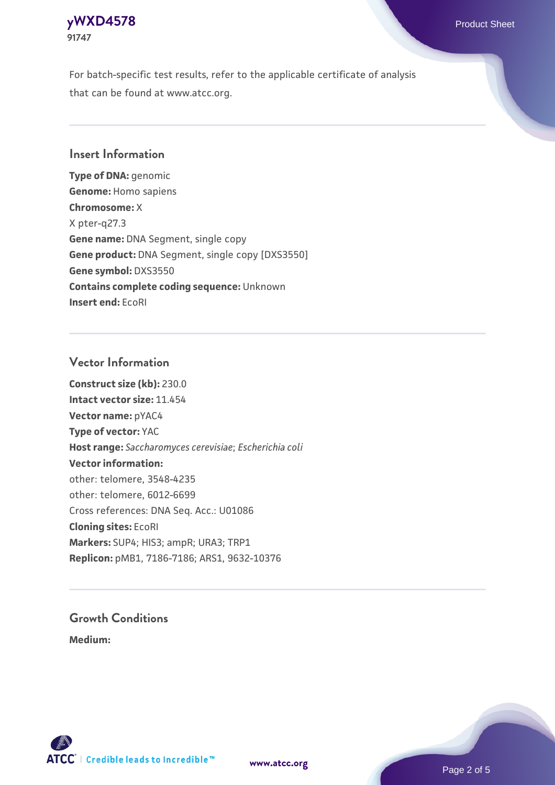### **[yWXD4578](https://www.atcc.org/products/91747)** Product Sheet **91747**

For batch-specific test results, refer to the applicable certificate of analysis that can be found at www.atcc.org.

### **Insert Information**

**Type of DNA:** genomic **Genome:** Homo sapiens **Chromosome:** X X pter-q27.3 **Gene name:** DNA Segment, single copy **Gene product:** DNA Segment, single copy [DXS3550] **Gene symbol:** DXS3550 **Contains complete coding sequence:** Unknown **Insert end:** EcoRI

#### **Vector Information**

**Construct size (kb):** 230.0 **Intact vector size:** 11.454 **Vector name:** pYAC4 **Type of vector:** YAC **Host range:** *Saccharomyces cerevisiae*; *Escherichia coli* **Vector information:** other: telomere, 3548-4235 other: telomere, 6012-6699 Cross references: DNA Seq. Acc.: U01086 **Cloning sites:** EcoRI **Markers:** SUP4; HIS3; ampR; URA3; TRP1 **Replicon:** pMB1, 7186-7186; ARS1, 9632-10376

# **Growth Conditions**

**Medium:** 



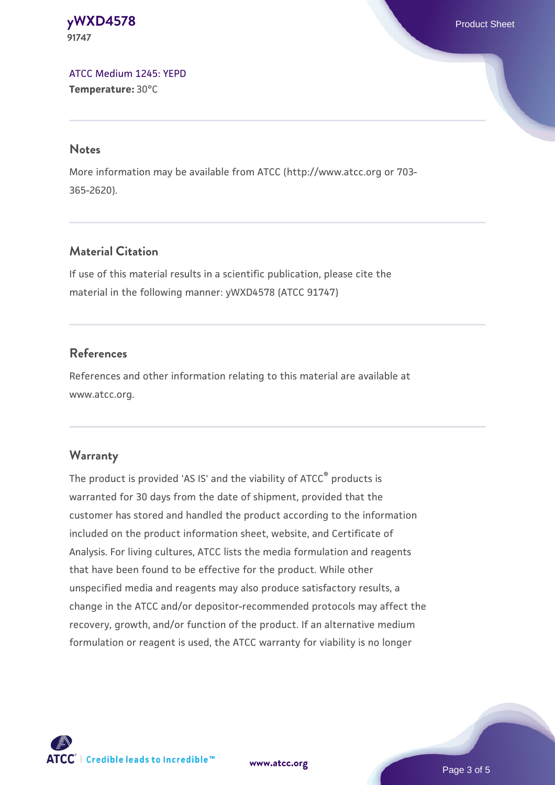#### **[yWXD4578](https://www.atcc.org/products/91747)** Product Sheet **91747**

[ATCC Medium 1245: YEPD](https://www.atcc.org/-/media/product-assets/documents/microbial-media-formulations/1/2/4/5/atcc-medium-1245.pdf?rev=705ca55d1b6f490a808a965d5c072196) **Temperature:** 30°C

#### **Notes**

More information may be available from ATCC (http://www.atcc.org or 703- 365-2620).

# **Material Citation**

If use of this material results in a scientific publication, please cite the material in the following manner: yWXD4578 (ATCC 91747)

# **References**

References and other information relating to this material are available at www.atcc.org.

# **Warranty**

The product is provided 'AS IS' and the viability of ATCC® products is warranted for 30 days from the date of shipment, provided that the customer has stored and handled the product according to the information included on the product information sheet, website, and Certificate of Analysis. For living cultures, ATCC lists the media formulation and reagents that have been found to be effective for the product. While other unspecified media and reagents may also produce satisfactory results, a change in the ATCC and/or depositor-recommended protocols may affect the recovery, growth, and/or function of the product. If an alternative medium formulation or reagent is used, the ATCC warranty for viability is no longer



**[www.atcc.org](http://www.atcc.org)**

Page 3 of 5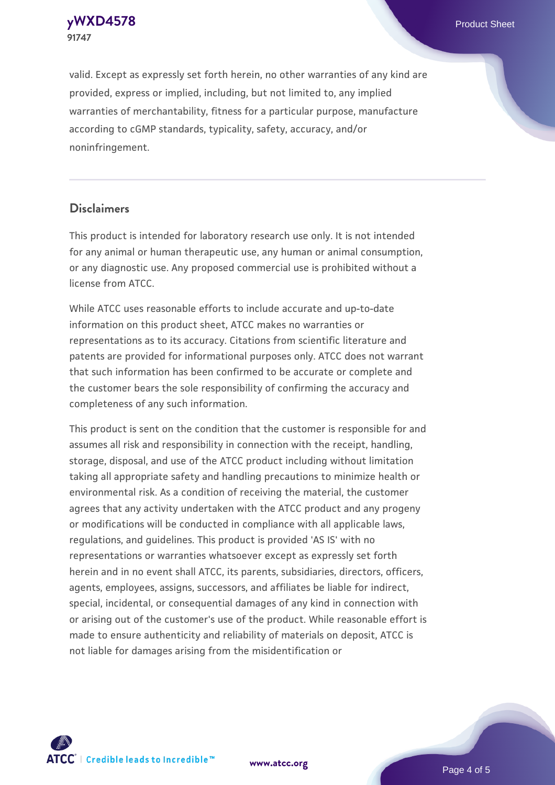**91747**

valid. Except as expressly set forth herein, no other warranties of any kind are provided, express or implied, including, but not limited to, any implied warranties of merchantability, fitness for a particular purpose, manufacture according to cGMP standards, typicality, safety, accuracy, and/or noninfringement.

#### **Disclaimers**

This product is intended for laboratory research use only. It is not intended for any animal or human therapeutic use, any human or animal consumption, or any diagnostic use. Any proposed commercial use is prohibited without a license from ATCC.

While ATCC uses reasonable efforts to include accurate and up-to-date information on this product sheet, ATCC makes no warranties or representations as to its accuracy. Citations from scientific literature and patents are provided for informational purposes only. ATCC does not warrant that such information has been confirmed to be accurate or complete and the customer bears the sole responsibility of confirming the accuracy and completeness of any such information.

This product is sent on the condition that the customer is responsible for and assumes all risk and responsibility in connection with the receipt, handling, storage, disposal, and use of the ATCC product including without limitation taking all appropriate safety and handling precautions to minimize health or environmental risk. As a condition of receiving the material, the customer agrees that any activity undertaken with the ATCC product and any progeny or modifications will be conducted in compliance with all applicable laws, regulations, and guidelines. This product is provided 'AS IS' with no representations or warranties whatsoever except as expressly set forth herein and in no event shall ATCC, its parents, subsidiaries, directors, officers, agents, employees, assigns, successors, and affiliates be liable for indirect, special, incidental, or consequential damages of any kind in connection with or arising out of the customer's use of the product. While reasonable effort is made to ensure authenticity and reliability of materials on deposit, ATCC is not liable for damages arising from the misidentification or



**[www.atcc.org](http://www.atcc.org)**

Page 4 of 5